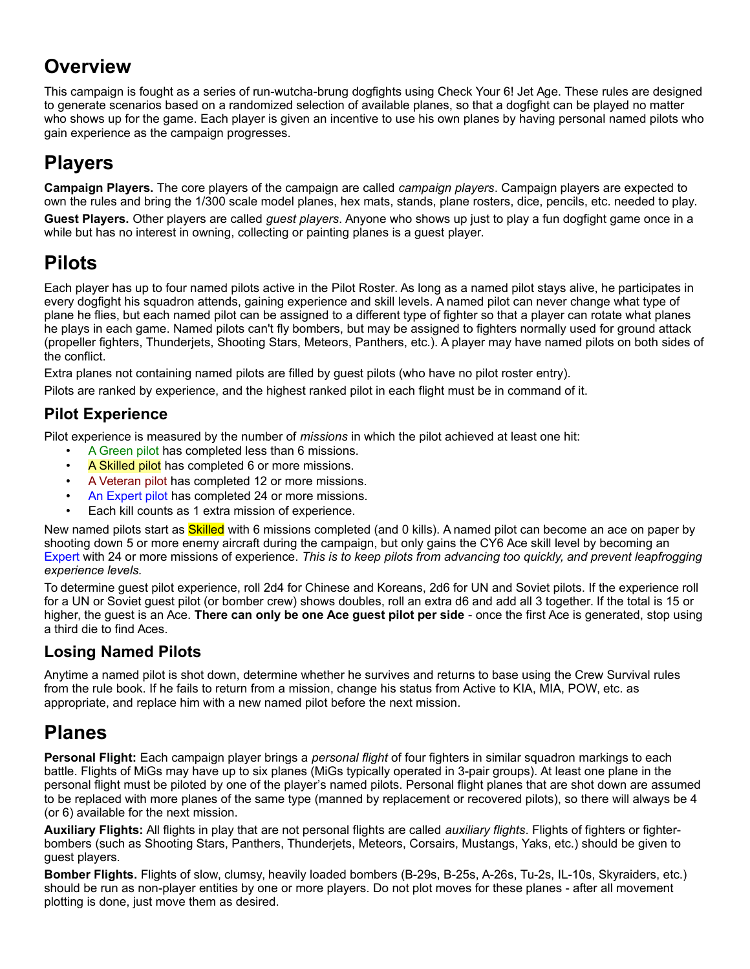### **Overview**

This campaign is fought as a series of run-wutcha-brung dogfights using Check Your 6! Jet Age. These rules are designed to generate scenarios based on a randomized selection of available planes, so that a dogfight can be played no matter who shows up for the game. Each player is given an incentive to use his own planes by having personal named pilots who gain experience as the campaign progresses.

# **Players**

**Campaign Players.** The core players of the campaign are called *campaign players*. Campaign players are expected to own the rules and bring the 1/300 scale model planes, hex mats, stands, plane rosters, dice, pencils, etc. needed to play.

**Guest Players.** Other players are called *guest players*. Anyone who shows up just to play a fun dogfight game once in a while but has no interest in owning, collecting or painting planes is a guest player.

## **Pilots**

Each player has up to four named pilots active in the Pilot Roster. As long as a named pilot stays alive, he participates in every dogfight his squadron attends, gaining experience and skill levels. A named pilot can never change what type of plane he flies, but each named pilot can be assigned to a different type of fighter so that a player can rotate what planes he plays in each game. Named pilots can't fly bombers, but may be assigned to fighters normally used for ground attack (propeller fighters, Thunderjets, Shooting Stars, Meteors, Panthers, etc.). A player may have named pilots on both sides of the conflict.

Extra planes not containing named pilots are filled by guest pilots (who have no pilot roster entry).

Pilots are ranked by experience, and the highest ranked pilot in each flight must be in command of it.

#### **Pilot Experience**

Pilot experience is measured by the number of *missions* in which the pilot achieved at least one hit:

- A Green pilot has completed less than 6 missions.
- A Skilled pilot has completed 6 or more missions.
- A Veteran pilot has completed 12 or more missions.
- An Expert pilot has completed 24 or more missions.
- Each kill counts as 1 extra mission of experience.

New named pilots start as *Skilled* with 6 missions completed (and 0 kills). A named pilot can become an ace on paper by shooting down 5 or more enemy aircraft during the campaign, but only gains the CY6 Ace skill level by becoming an Expert with 24 or more missions of experience. *This is to keep pilots from advancing too quickly, and prevent leapfrogging experience levels.*

To determine guest pilot experience, roll 2d4 for Chinese and Koreans, 2d6 for UN and Soviet pilots. If the experience roll for a UN or Soviet guest pilot (or bomber crew) shows doubles, roll an extra d6 and add all 3 together. If the total is 15 or higher, the guest is an Ace. **There can only be one Ace guest pilot per side** - once the first Ace is generated, stop using a third die to find Aces.

#### **Losing Named Pilots**

Anytime a named pilot is shot down, determine whether he survives and returns to base using the Crew Survival rules from the rule book. If he fails to return from a mission, change his status from Active to KIA, MIA, POW, etc. as appropriate, and replace him with a new named pilot before the next mission.

### **Planes**

**Personal Flight:** Each campaign player brings a *personal flight* of four fighters in similar squadron markings to each battle. Flights of MiGs may have up to six planes (MiGs typically operated in 3-pair groups). At least one plane in the personal flight must be piloted by one of the player's named pilots. Personal flight planes that are shot down are assumed to be replaced with more planes of the same type (manned by replacement or recovered pilots), so there will always be 4 (or 6) available for the next mission.

**Auxiliary Flights:** All flights in play that are not personal flights are called *auxiliary flights*. Flights of fighters or fighterbombers (such as Shooting Stars, Panthers, Thunderjets, Meteors, Corsairs, Mustangs, Yaks, etc.) should be given to guest players.

**Bomber Flights.** Flights of slow, clumsy, heavily loaded bombers (B-29s, B-25s, A-26s, Tu-2s, IL-10s, Skyraiders, etc.) should be run as non-player entities by one or more players. Do not plot moves for these planes - after all movement plotting is done, just move them as desired.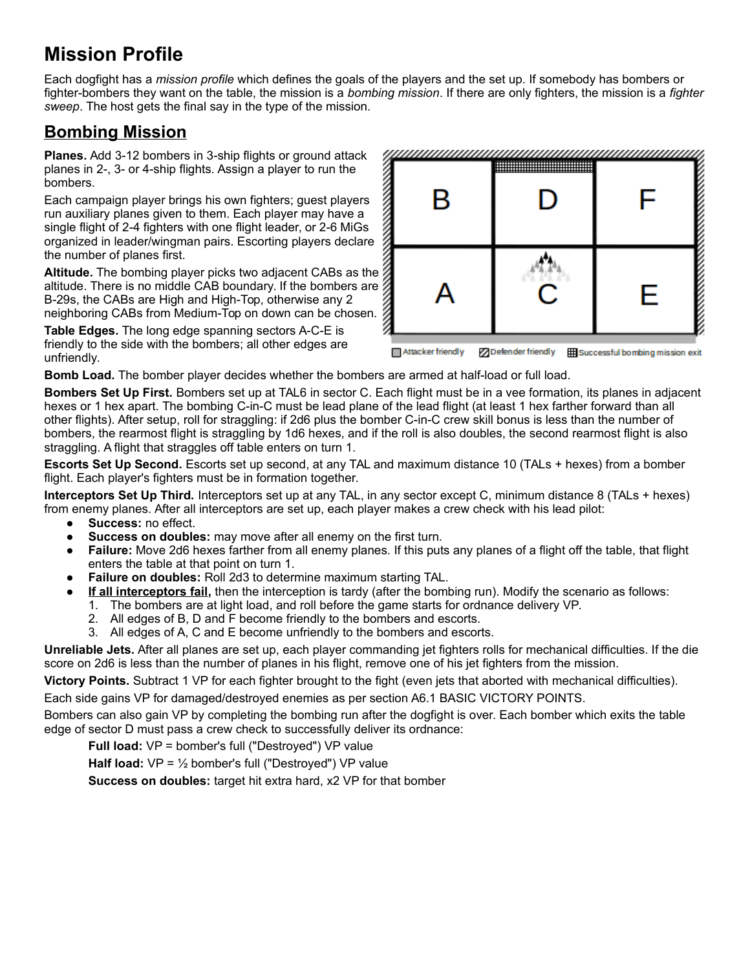## **Mission Profile**

Each dogfight has a *mission profile* which defines the goals of the players and the set up. If somebody has bombers or fighter-bombers they want on the table, the mission is a *bombing mission*. If there are only fighters, the mission is a *fighter sweep*. The host gets the final say in the type of the mission.

### **Bombing Mission**

**Planes.** Add 3-12 bombers in 3-ship flights or ground attack planes in 2-, 3- or 4-ship flights. Assign a player to run the bombers.

Each campaign player brings his own fighters; guest players run auxiliary planes given to them. Each player may have a single flight of 2-4 fighters with one flight leader, or 2-6 MiGs organized in leader/wingman pairs. Escorting players declare the number of planes first.

**Altitude.** The bombing player picks two adjacent CABs as the altitude. There is no middle CAB boundary. If the bombers are B-29s, the CABs are High and High-Top, otherwise any 2 neighboring CABs from Medium-Top on down can be chosen.

**Table Edges.** The long edge spanning sectors A-C-E is friendly to the side with the bombers; all other edges are unfriendly.



Attacker friendly **Defender friendly Hill Successful bombing mission exit** 

**Bomb Load.** The bomber player decides whether the bombers are armed at half-load or full load.

**Bombers Set Up First.** Bombers set up at TAL6 in sector C. Each flight must be in a vee formation, its planes in adjacent hexes or 1 hex apart. The bombing C-in-C must be lead plane of the lead flight (at least 1 hex farther forward than all other flights). After setup, roll for straggling: if 2d6 plus the bomber C-in-C crew skill bonus is less than the number of bombers, the rearmost flight is straggling by 1d6 hexes, and if the roll is also doubles, the second rearmost flight is also straggling. A flight that straggles off table enters on turn 1.

**Escorts Set Up Second.** Escorts set up second, at any TAL and maximum distance 10 (TALs + hexes) from a bomber flight. Each player's fighters must be in formation together.

**Interceptors Set Up Third.** Interceptors set up at any TAL, in any sector except C, minimum distance 8 (TALs + hexes) from enemy planes. After all interceptors are set up, each player makes a crew check with his lead pilot:

- **Success:** no effect.
- **Success on doubles:** may move after all enemy on the first turn.
- **Failure:** Move 2d6 hexes farther from all enemy planes. If this puts any planes of a flight off the table, that flight enters the table at that point on turn 1.
- **Failure on doubles:** Roll 2d3 to determine maximum starting TAL.
- **If all interceptors fail,** then the interception is tardy (after the bombing run). Modify the scenario as follows:
	- 1. The bombers are at light load, and roll before the game starts for ordnance delivery VP.
	- 2. All edges of B, D and F become friendly to the bombers and escorts.
	- 3. All edges of A, C and E become unfriendly to the bombers and escorts.

**Unreliable Jets.** After all planes are set up, each player commanding jet fighters rolls for mechanical difficulties. If the die score on 2d6 is less than the number of planes in his flight, remove one of his jet fighters from the mission.

**Victory Points.** Subtract 1 VP for each fighter brought to the fight (even jets that aborted with mechanical difficulties).

Each side gains VP for damaged/destroyed enemies as per section A6.1 BASIC VICTORY POINTS.

Bombers can also gain VP by completing the bombing run after the dogfight is over. Each bomber which exits the table edge of sector D must pass a crew check to successfully deliver its ordnance:

**Full load:** VP = bomber's full ("Destroyed") VP value

**Half load:** VP = ½ bomber's full ("Destroyed") VP value

**Success on doubles:** target hit extra hard, x2 VP for that bomber